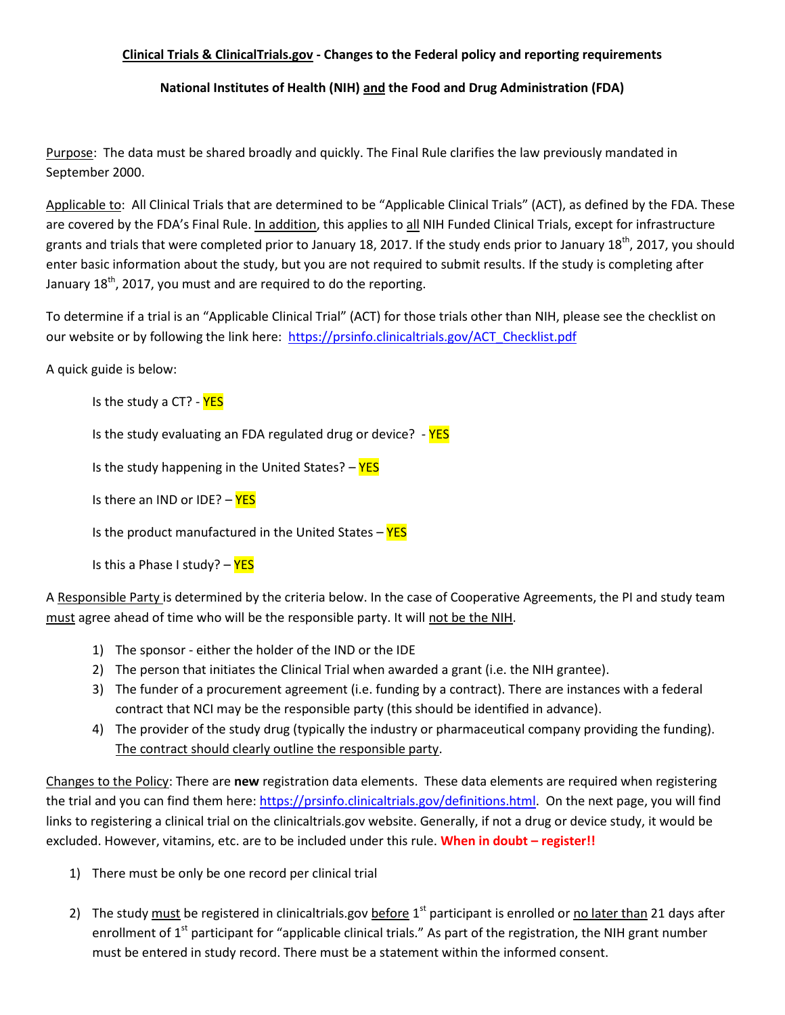## **Clinical Trials & ClinicalTrials.gov - Changes to the Federal policy and reporting requirements**

**National Institutes of Health (NIH) and the Food and Drug Administration (FDA)**

Purpose: The data must be shared broadly and quickly. The Final Rule clarifies the law previously mandated in September 2000.

Applicable to: All Clinical Trials that are determined to be "Applicable Clinical Trials" (ACT), as defined by the FDA. These are covered by the FDA's Final Rule. In addition, this applies to all NIH Funded Clinical Trials, except for infrastructure grants and trials that were completed prior to January 18, 2017. If the study ends prior to January 18<sup>th</sup>, 2017, you should enter basic information about the study, but you are not required to submit results. If the study is completing after January  $18^{th}$ , 2017, you must and are required to do the reporting.

To determine if a trial is an "Applicable Clinical Trial" (ACT) for those trials other than NIH, please see the checklist on our website or by following the link here: [https://prsinfo.clinicaltrials.gov/ACT\\_Checklist.pdf](https://prsinfo.clinicaltrials.gov/ACT_Checklist.pdf)

A quick guide is below:

Is the study a CT? - YES

Is the study evaluating an FDA regulated drug or device?  $YES$ 

Is the study happening in the United States?  $-$  YES

Is there an IND or IDE? - YES

Is the product manufactured in the United States  $-\frac{YES}{YES}$ 

Is this a Phase I study? - YES

A Responsible Party is determined by the criteria below. In the case of Cooperative Agreements, the PI and study team must agree ahead of time who will be the responsible party. It will not be the NIH.

- 1) The sponsor either the holder of the IND or the IDE
- 2) The person that initiates the Clinical Trial when awarded a grant (i.e. the NIH grantee).
- 3) The funder of a procurement agreement (i.e. funding by a contract). There are instances with a federal contract that NCI may be the responsible party (this should be identified in advance).
- 4) The provider of the study drug (typically the industry or pharmaceutical company providing the funding). The contract should clearly outline the responsible party.

Changes to the Policy: There are **new** registration data elements. These data elements are required when registering the trial and you can find them here[: https://prsinfo.clinicaltrials.gov/definitions.html.](https://prsinfo.clinicaltrials.gov/definitions.html) On the next page, you will find links to registering a clinical trial on the clinicaltrials.gov website. Generally, if not a drug or device study, it would be excluded. However, vitamins, etc. are to be included under this rule. **When in doubt – register!!**

- 1) There must be only be one record per clinical trial
- 2) The study must be registered in clinicaltrials.gov before 1<sup>st</sup> participant is enrolled or no later than 21 days after enrollment of 1<sup>st</sup> participant for "applicable clinical trials." As part of the registration, the NIH grant number must be entered in study record. There must be a statement within the informed consent.